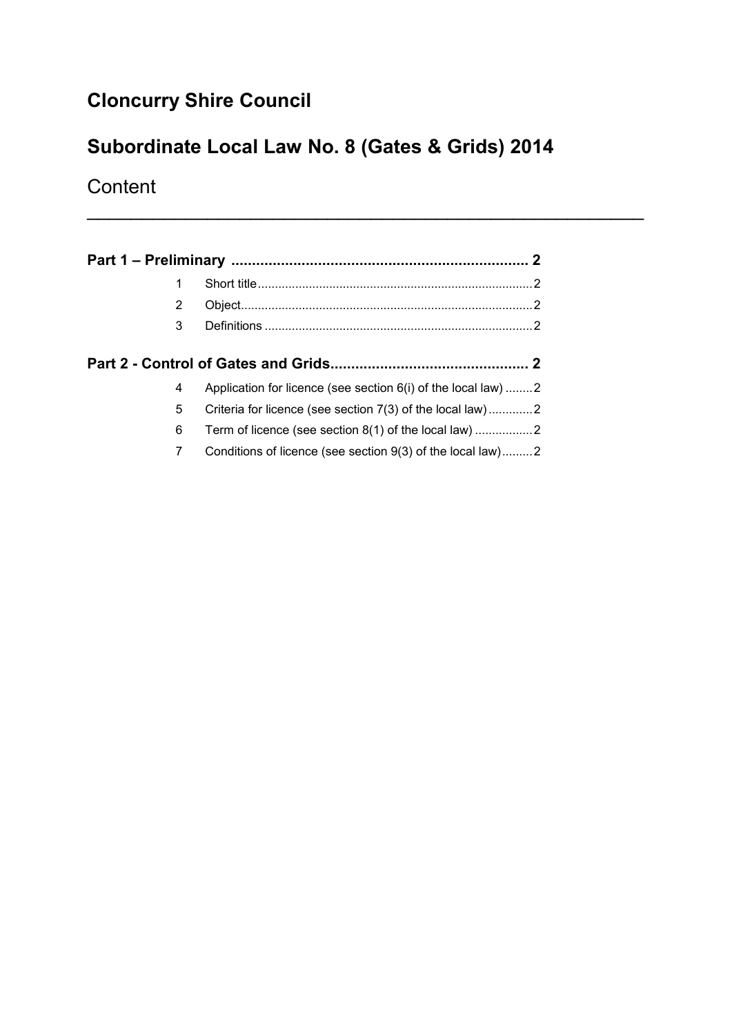# **Cloncurry Shire Council**

# **Subordinate Local Law No. 8 (Gates & Grids) 2014**

\_\_\_\_\_\_\_\_\_\_\_\_\_\_\_\_\_\_\_\_\_\_\_\_\_\_\_\_\_\_\_\_\_\_\_\_\_\_\_\_\_\_\_\_\_\_\_\_\_\_\_

**Content** 

| 2 |  |                                                               |  |
|---|--|---------------------------------------------------------------|--|
| 3 |  |                                                               |  |
|   |  |                                                               |  |
|   |  |                                                               |  |
|   |  |                                                               |  |
| 4 |  | Application for licence (see section 6(i) of the local law) 2 |  |
| 5 |  | Criteria for licence (see section 7(3) of the local law)2     |  |
| 6 |  |                                                               |  |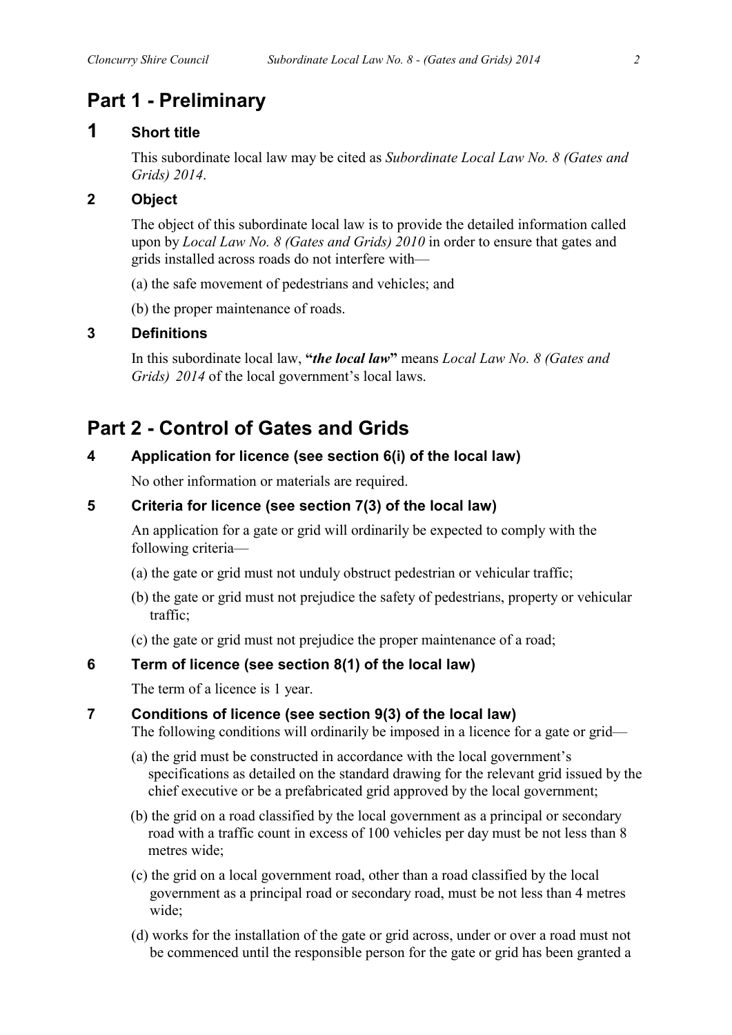## **Part 1 - Preliminary**

### **1 Short title**

This subordinate local law may be cited as *Subordinate Local Law No. 8 (Gates and Grids) 2014*.

### **2 Object**

The object of this subordinate local law is to provide the detailed information called upon by *Local Law No. 8 (Gates and Grids) 2010* in order to ensure that gates and grids installed across roads do not interfere with—

(a) the safe movement of pedestrians and vehicles; and

(b) the proper maintenance of roads.

#### **3 Definitions**

In this subordinate local law, **"***the local law***"** means *Local Law No. 8 (Gates and Grids) 2014* of the local government's local laws.

## **Part 2 - Control of Gates and Grids**

### **4 Application for licence (see section 6(i) of the local law)**

No other information or materials are required.

### **5 Criteria for licence (see section 7(3) of the local law)**

An application for a gate or grid will ordinarily be expected to comply with the following criteria—

- (a) the gate or grid must not unduly obstruct pedestrian or vehicular traffic;
- (b) the gate or grid must not prejudice the safety of pedestrians, property or vehicular traffic;
- (c) the gate or grid must not prejudice the proper maintenance of a road;

### **6 Term of licence (see section 8(1) of the local law)**

The term of a licence is 1 year.

### **7 Conditions of licence (see section 9(3) of the local law)**

The following conditions will ordinarily be imposed in a licence for a gate or grid—

- (a) the grid must be constructed in accordance with the local government's specifications as detailed on the standard drawing for the relevant grid issued by the chief executive or be a prefabricated grid approved by the local government;
- (b) the grid on a road classified by the local government as a principal or secondary road with a traffic count in excess of 100 vehicles per day must be not less than 8 metres wide;
- (c) the grid on a local government road, other than a road classified by the local government as a principal road or secondary road, must be not less than 4 metres wide;
- (d) works for the installation of the gate or grid across, under or over a road must not be commenced until the responsible person for the gate or grid has been granted a